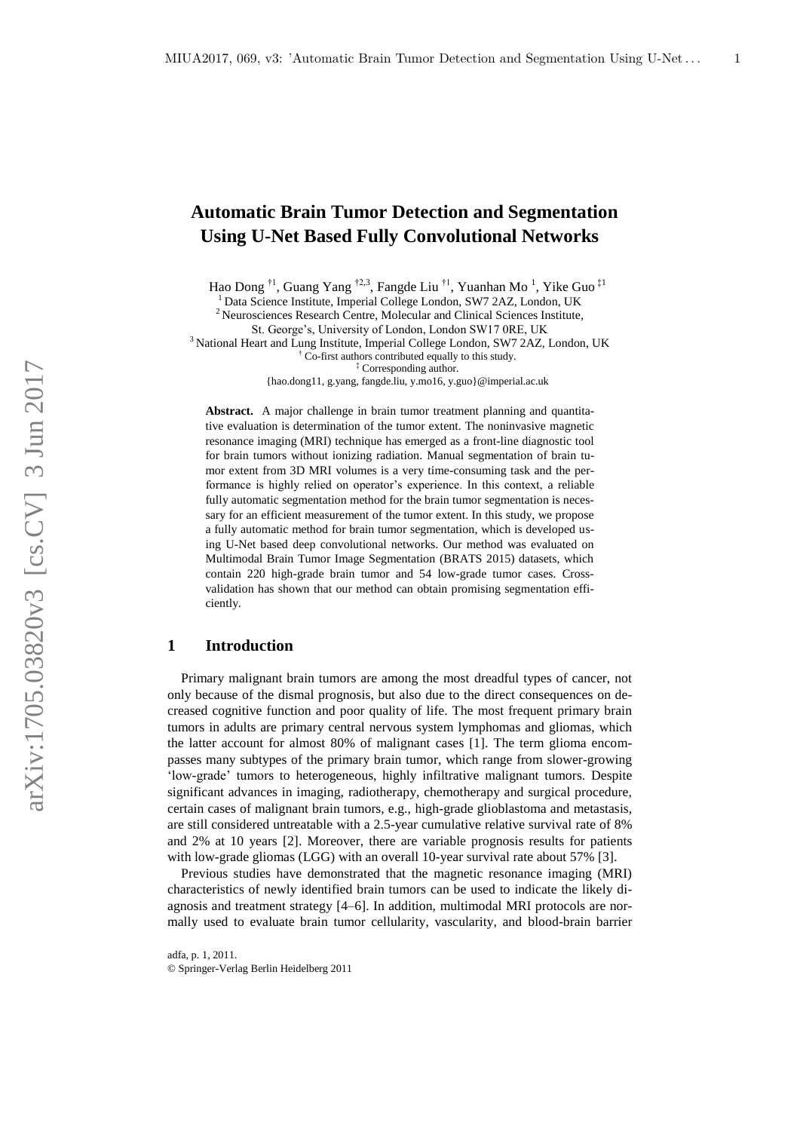# **Automatic Brain Tumor Detection and Segmentation Using U-Net Based Fully Convolutional Networks**

Hao Dong  $^{\dagger 1}$ , Guang Yang  $^{\dagger 2,3}$ , Fangde Liu  $^{\dagger 1}$ , Yuanhan Mo  $^1$ , Yike Guo  $^{\ddagger 1}$ 

<sup>1</sup> Data Science Institute, Imperial College London, SW7 2AZ, London, UK

St. George's, University of London, London SW17 0RE, UK

<sup>3</sup> National Heart and Lung Institute, Imperial College London, SW7 2AZ, London, UK † Co-first authors contributed equally to this study.

‡ Corresponding author. {hao.dong11, g.yang, fangde.liu, y.mo16, y.guo}@imperial.ac.uk

**Abstract.** A major challenge in brain tumor treatment planning and quantitative evaluation is determination of the tumor extent. The noninvasive magnetic resonance imaging (MRI) technique has emerged as a front-line diagnostic tool for brain tumors without ionizing radiation. Manual segmentation of brain tumor extent from 3D MRI volumes is a very time-consuming task and the performance is highly relied on operator's experience. In this context, a reliable fully automatic segmentation method for the brain tumor segmentation is necessary for an efficient measurement of the tumor extent. In this study, we propose a fully automatic method for brain tumor segmentation, which is developed using U-Net based deep convolutional networks. Our method was evaluated on Multimodal Brain Tumor Image Segmentation (BRATS 2015) datasets, which contain 220 high-grade brain tumor and 54 low-grade tumor cases. Crossvalidation has shown that our method can obtain promising segmentation efficiently.

### **1 Introduction**

Primary malignant brain tumors are among the most dreadful types of cancer, not only because of the dismal prognosis, but also due to the direct consequences on decreased cognitive function and poor quality of life. The most frequent primary brain tumors in adults are primary central nervous system lymphomas and gliomas, which the latter account for almost 80% of malignant cases [1]. The term glioma encompasses many subtypes of the primary brain tumor, which range from slower-growing 'low-grade' tumors to heterogeneous, highly infiltrative malignant tumors. Despite significant advances in imaging, radiotherapy, chemotherapy and surgical procedure, certain cases of malignant brain tumors, e.g., high-grade glioblastoma and metastasis, are still considered untreatable with a 2.5-year cumulative relative survival rate of 8% and 2% at 10 years [2]. Moreover, there are variable prognosis results for patients with low-grade gliomas (LGG) with an overall 10-year survival rate about 57% [3].

Previous studies have demonstrated that the magnetic resonance imaging (MRI) characteristics of newly identified brain tumors can be used to indicate the likely diagnosis and treatment strategy [4–6]. In addition, multimodal MRI protocols are normally used to evaluate brain tumor cellularity, vascularity, and blood-brain barrier

adfa, p. 1, 2011.

<sup>&</sup>lt;sup>2</sup> Neurosciences Research Centre, Molecular and Clinical Sciences Institute,

<sup>©</sup> Springer-Verlag Berlin Heidelberg 2011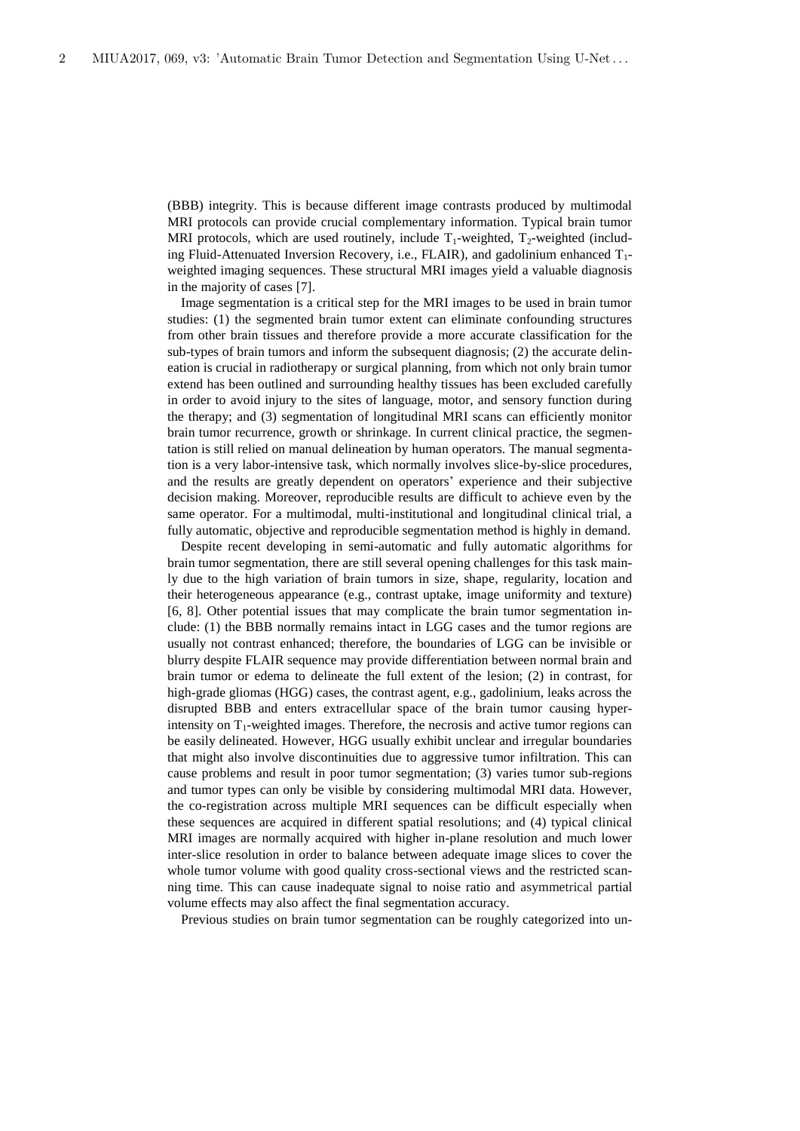(BBB) integrity. This is because different image contrasts produced by multimodal MRI protocols can provide crucial complementary information. Typical brain tumor MRI protocols, which are used routinely, include  $T_1$ -weighted,  $T_2$ -weighted (including Fluid-Attenuated Inversion Recovery, i.e., FLAIR), and gadolinium enhanced  $T_1$ weighted imaging sequences. These structural MRI images yield a valuable diagnosis in the majority of cases [7].

Image segmentation is a critical step for the MRI images to be used in brain tumor studies: (1) the segmented brain tumor extent can eliminate confounding structures from other brain tissues and therefore provide a more accurate classification for the sub-types of brain tumors and inform the subsequent diagnosis; (2) the accurate delineation is crucial in radiotherapy or surgical planning, from which not only brain tumor extend has been outlined and surrounding healthy tissues has been excluded carefully in order to avoid injury to the sites of language, motor, and sensory function during the therapy; and (3) segmentation of longitudinal MRI scans can efficiently monitor brain tumor recurrence, growth or shrinkage. In current clinical practice, the segmentation is still relied on manual delineation by human operators. The manual segmentation is a very labor-intensive task, which normally involves slice-by-slice procedures, and the results are greatly dependent on operators' experience and their subjective decision making. Moreover, reproducible results are difficult to achieve even by the same operator. For a multimodal, multi-institutional and longitudinal clinical trial, a fully automatic, objective and reproducible segmentation method is highly in demand.

Despite recent developing in semi-automatic and fully automatic algorithms for brain tumor segmentation, there are still several opening challenges for this task mainly due to the high variation of brain tumors in size, shape, regularity, location and their heterogeneous appearance (e.g., contrast uptake, image uniformity and texture) [6, 8]. Other potential issues that may complicate the brain tumor segmentation include: (1) the BBB normally remains intact in LGG cases and the tumor regions are usually not contrast enhanced; therefore, the boundaries of LGG can be invisible or blurry despite FLAIR sequence may provide differentiation between normal brain and brain tumor or edema to delineate the full extent of the lesion; (2) in contrast, for high-grade gliomas (HGG) cases, the contrast agent, e.g., gadolinium, leaks across the disrupted BBB and enters extracellular space of the brain tumor causing hyperintensity on  $T_1$ -weighted images. Therefore, the necrosis and active tumor regions can be easily delineated. However, HGG usually exhibit unclear and irregular boundaries that might also involve discontinuities due to aggressive tumor infiltration. This can cause problems and result in poor tumor segmentation; (3) varies tumor sub-regions and tumor types can only be visible by considering multimodal MRI data. However, the co-registration across multiple MRI sequences can be difficult especially when these sequences are acquired in different spatial resolutions; and (4) typical clinical MRI images are normally acquired with higher in-plane resolution and much lower inter-slice resolution in order to balance between adequate image slices to cover the whole tumor volume with good quality cross-sectional views and the restricted scanning time. This can cause inadequate signal to noise ratio and asymmetrical partial volume effects may also affect the final segmentation accuracy.

Previous studies on brain tumor segmentation can be roughly categorized into un-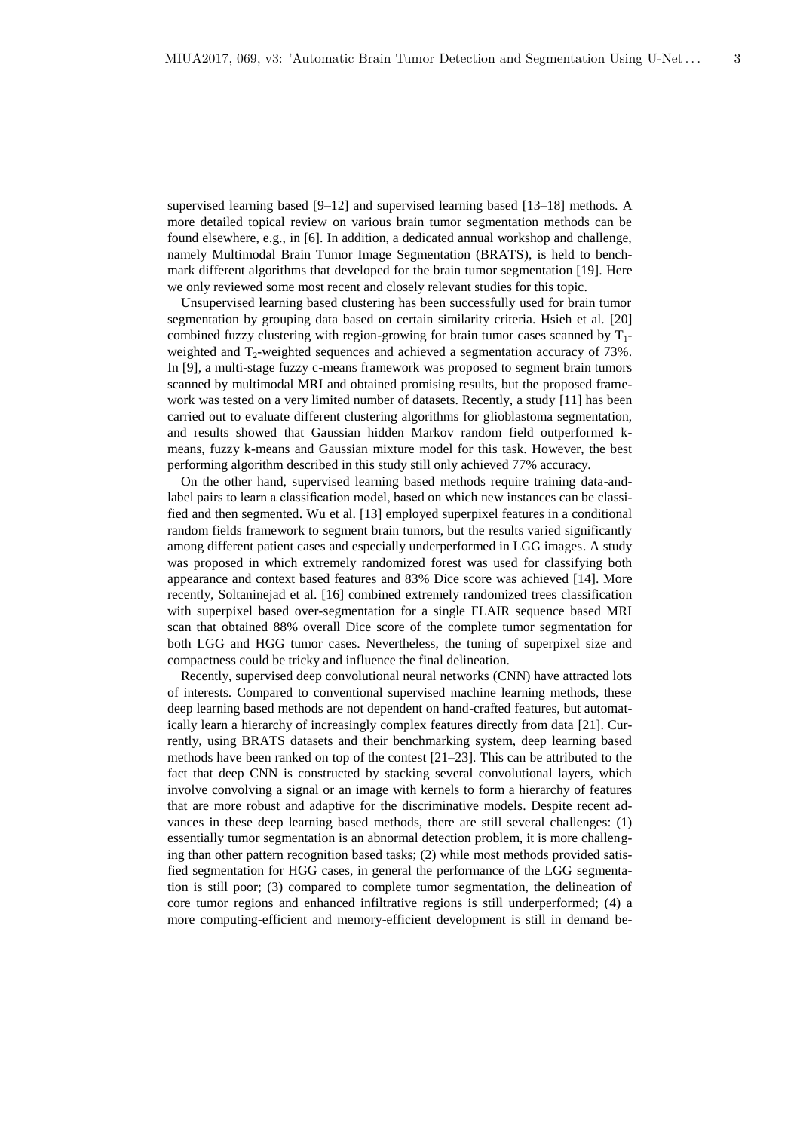supervised learning based [9–12] and supervised learning based [13–18] methods. A more detailed topical review on various brain tumor segmentation methods can be found elsewhere, e.g., in [6]. In addition, a dedicated annual workshop and challenge, namely Multimodal Brain Tumor Image Segmentation (BRATS), is held to benchmark different algorithms that developed for the brain tumor segmentation [19]. Here we only reviewed some most recent and closely relevant studies for this topic.

Unsupervised learning based clustering has been successfully used for brain tumor segmentation by grouping data based on certain similarity criteria. Hsieh et al. [20] combined fuzzy clustering with region-growing for brain tumor cases scanned by  $T_1$ weighted and  $T_2$ -weighted sequences and achieved a segmentation accuracy of 73%. In [9], a multi-stage fuzzy c-means framework was proposed to segment brain tumors scanned by multimodal MRI and obtained promising results, but the proposed framework was tested on a very limited number of datasets. Recently, a study [11] has been carried out to evaluate different clustering algorithms for glioblastoma segmentation, and results showed that Gaussian hidden Markov random field outperformed kmeans, fuzzy k-means and Gaussian mixture model for this task. However, the best performing algorithm described in this study still only achieved 77% accuracy.

On the other hand, supervised learning based methods require training data-andlabel pairs to learn a classification model, based on which new instances can be classified and then segmented. Wu et al. [13] employed superpixel features in a conditional random fields framework to segment brain tumors, but the results varied significantly among different patient cases and especially underperformed in LGG images. A study was proposed in which extremely randomized forest was used for classifying both appearance and context based features and 83% Dice score was achieved [14]. More recently, Soltaninejad et al. [16] combined extremely randomized trees classification with superpixel based over-segmentation for a single FLAIR sequence based MRI scan that obtained 88% overall Dice score of the complete tumor segmentation for both LGG and HGG tumor cases. Nevertheless, the tuning of superpixel size and compactness could be tricky and influence the final delineation.

Recently, supervised deep convolutional neural networks (CNN) have attracted lots of interests. Compared to conventional supervised machine learning methods, these deep learning based methods are not dependent on hand-crafted features, but automatically learn a hierarchy of increasingly complex features directly from data [21]. Currently, using BRATS datasets and their benchmarking system, deep learning based methods have been ranked on top of the contest [21–23]. This can be attributed to the fact that deep CNN is constructed by stacking several convolutional layers, which involve convolving a signal or an image with kernels to form a hierarchy of features that are more robust and adaptive for the discriminative models. Despite recent advances in these deep learning based methods, there are still several challenges: (1) essentially tumor segmentation is an abnormal detection problem, it is more challenging than other pattern recognition based tasks; (2) while most methods provided satisfied segmentation for HGG cases, in general the performance of the LGG segmentation is still poor; (3) compared to complete tumor segmentation, the delineation of core tumor regions and enhanced infiltrative regions is still underperformed; (4) a more computing-efficient and memory-efficient development is still in demand be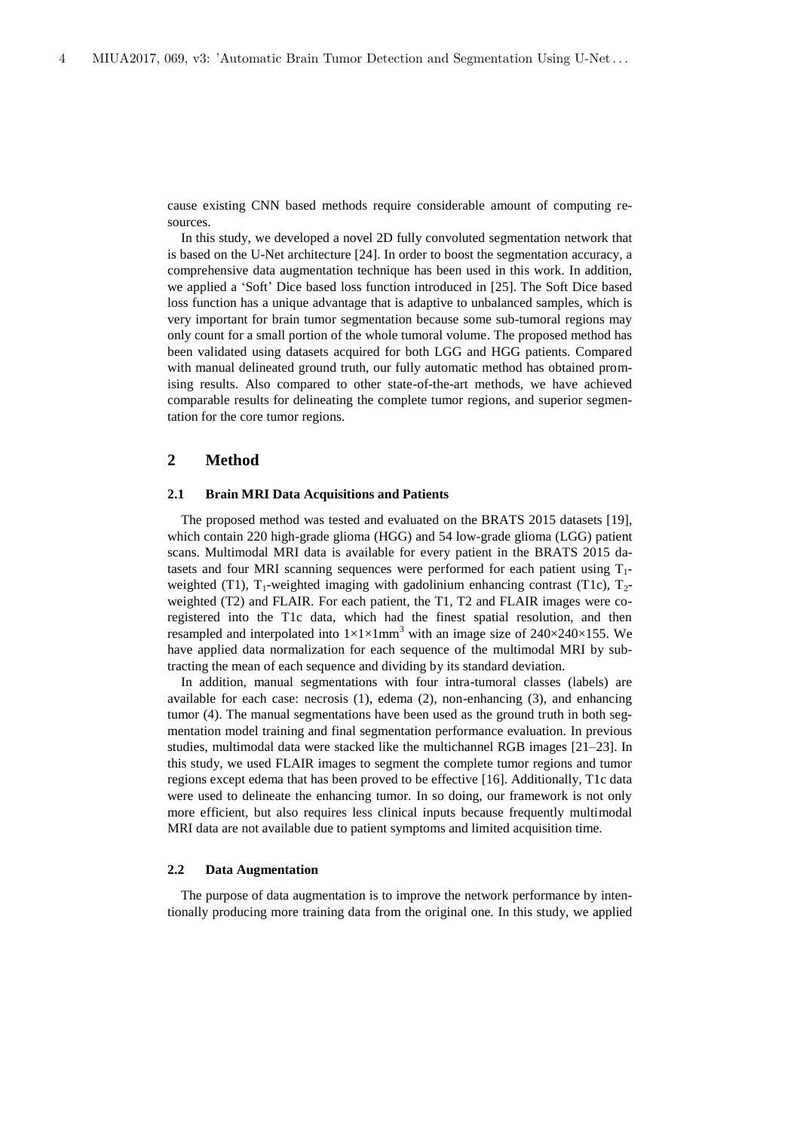cause existing CNN based methods require considerable amount of computing resources.

In this study, we developed a novel 2D fully convoluted segmentation network that is based on the U-Net architecture [24]. In order to boost the segmentation accuracy, a comprehensive data augmentation technique has been used in this work. In addition, we applied a 'Soft' Dice based loss function introduced in [25]. The Soft Dice based loss function has a unique advantage that is adaptive to unbalanced samples, which is very important for brain tumor segmentation because some sub-tumoral regions may only count for a small portion of the whole tumoral volume. The proposed method has been validated using datasets acquired for both LGG and HGG patients. Compared with manual delineated ground truth, our fully automatic method has obtained promising results. Also compared to other state-of-the-art methods, we have achieved comparable results for delineating the complete tumor regions, and superior segmentation for the core tumor regions.

# **2 Method**

### **2.1 Brain MRI Data Acquisitions and Patients**

The proposed method was tested and evaluated on the BRATS 2015 datasets [19], which contain 220 high-grade glioma (HGG) and 54 low-grade glioma (LGG) patient scans. Multimodal MRI data is available for every patient in the BRATS 2015 datasets and four MRI scanning sequences were performed for each patient using  $T_1$ weighted (T1), T<sub>1</sub>-weighted imaging with gadolinium enhancing contrast (T1c), T<sub>2</sub>weighted (T2) and FLAIR. For each patient, the T1, T2 and FLAIR images were coregistered into the T1c data, which had the finest spatial resolution, and then resampled and interpolated into  $1 \times 1 \times 1$  mm<sup>3</sup> with an image size of  $240 \times 240 \times 155$ . We have applied data normalization for each sequence of the multimodal MRI by subtracting the mean of each sequence and dividing by its standard deviation.

In addition, manual segmentations with four intra-tumoral classes (labels) are available for each case: necrosis (1), edema (2), non-enhancing (3), and enhancing tumor (4). The manual segmentations have been used as the ground truth in both segmentation model training and final segmentation performance evaluation. In previous studies, multimodal data were stacked like the multichannel RGB images [21–23]. In this study, we used FLAIR images to segment the complete tumor regions and tumor regions except edema that has been proved to be effective [16]. Additionally, T1c data were used to delineate the enhancing tumor. In so doing, our framework is not only more efficient, but also requires less clinical inputs because frequently multimodal MRI data are not available due to patient symptoms and limited acquisition time.

#### **2.2 Data Augmentation**

The purpose of data augmentation is to improve the network performance by intentionally producing more training data from the original one. In this study, we applied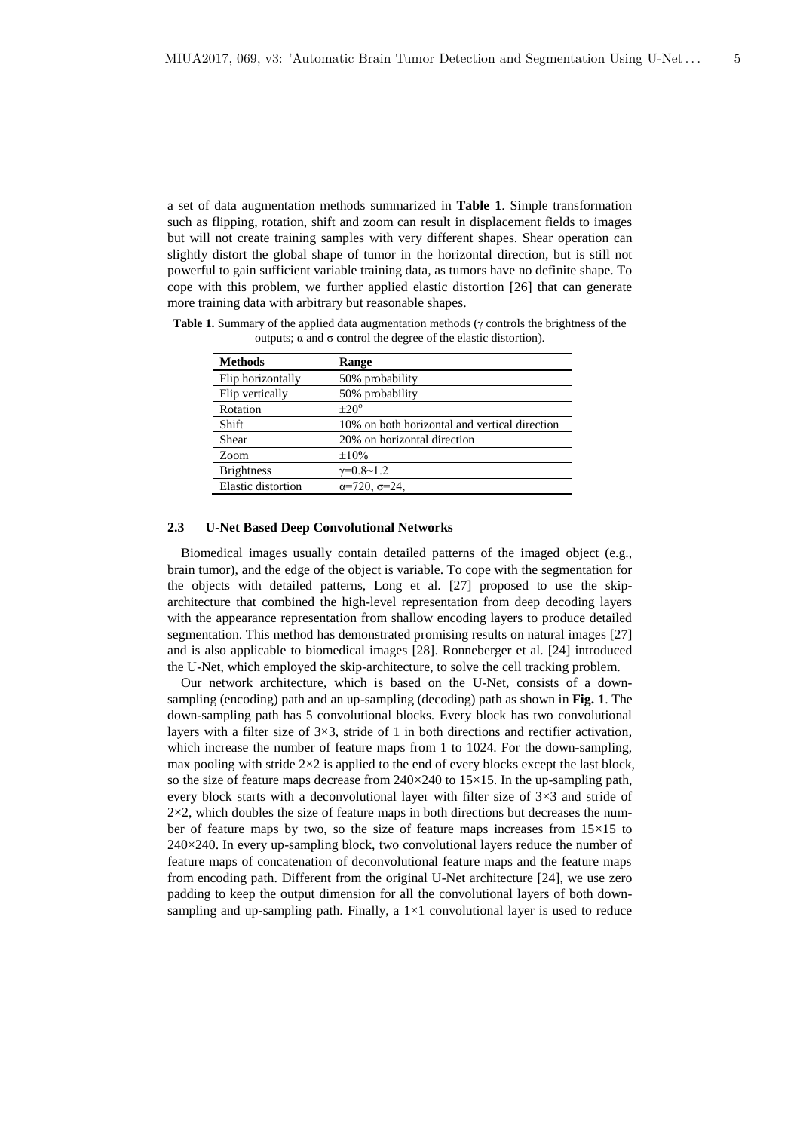a set of data augmentation methods summarized in **Table 1**. Simple transformation such as flipping, rotation, shift and zoom can result in displacement fields to images but will not create training samples with very different shapes. Shear operation can slightly distort the global shape of tumor in the horizontal direction, but is still not powerful to gain sufficient variable training data, as tumors have no definite shape. To cope with this problem, we further applied elastic distortion [26] that can generate more training data with arbitrary but reasonable shapes.

| <b>Methods</b>     | Range                                         |
|--------------------|-----------------------------------------------|
| Flip horizontally  | 50% probability                               |
| Flip vertically    | 50% probability                               |
| Rotation           | $\pm 20^\circ$                                |
| Shift              | 10% on both horizontal and vertical direction |
| Shear              | 20% on horizontal direction                   |
| Zoom               | $\pm 10\%$                                    |
| <b>Brightness</b>  | $\gamma = 0.8 \sim 1.2$                       |
| Elastic distortion | $\alpha = 720, \sigma = 24$                   |

**Table 1.** Summary of the applied data augmentation methods (γ controls the brightness of the outputs; α and σ control the degree of the elastic distortion).

#### **2.3 U-Net Based Deep Convolutional Networks**

Biomedical images usually contain detailed patterns of the imaged object (e.g., brain tumor), and the edge of the object is variable. To cope with the segmentation for the objects with detailed patterns, Long et al. [27] proposed to use the skiparchitecture that combined the high-level representation from deep decoding layers with the appearance representation from shallow encoding layers to produce detailed segmentation. This method has demonstrated promising results on natural images [27] and is also applicable to biomedical images [28]. Ronneberger et al. [24] introduced the U-Net, which employed the skip-architecture, to solve the cell tracking problem.

Our network architecture, which is based on the U-Net, consists of a downsampling (encoding) path and an up-sampling (decoding) path as shown in **Fig. 1**. The down-sampling path has 5 convolutional blocks. Every block has two convolutional layers with a filter size of  $3\times3$ , stride of 1 in both directions and rectifier activation, which increase the number of feature maps from 1 to 1024. For the down-sampling, max pooling with stride  $2\times 2$  is applied to the end of every blocks except the last block, so the size of feature maps decrease from  $240\times240$  to  $15\times15$ . In the up-sampling path, every block starts with a deconvolutional layer with filter size of 3×3 and stride of  $2\times2$ , which doubles the size of feature maps in both directions but decreases the number of feature maps by two, so the size of feature maps increases from 15×15 to  $240\times240$ . In every up-sampling block, two convolutional layers reduce the number of feature maps of concatenation of deconvolutional feature maps and the feature maps from encoding path. Different from the original U-Net architecture [24], we use zero padding to keep the output dimension for all the convolutional layers of both downsampling and up-sampling path. Finally, a  $1\times1$  convolutional layer is used to reduce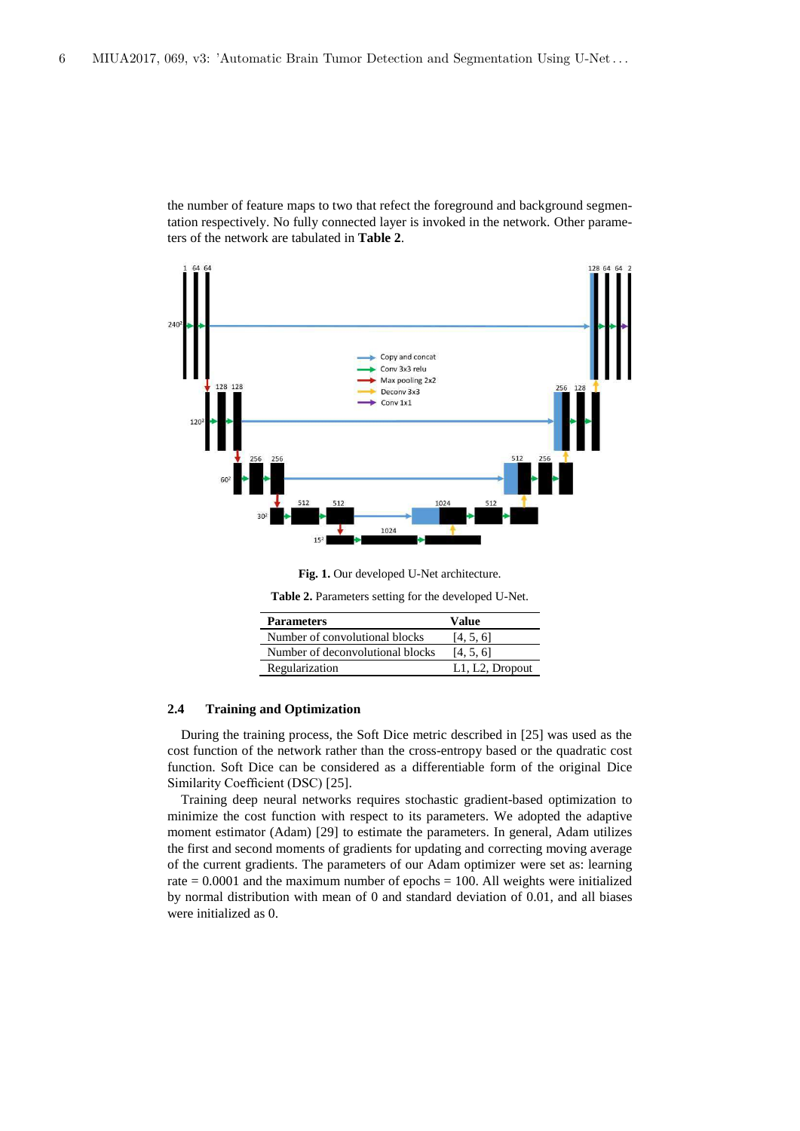the number of feature maps to two that refect the foreground and background segmentation respectively. No fully connected layer is invoked in the network. Other parameters of the network are tabulated in **Table 2**.



**Fig. 1.** Our developed U-Net architecture.

**Table 2.** Parameters setting for the developed U-Net.

| <b>Parameters</b>                | Value           |  |  |
|----------------------------------|-----------------|--|--|
| Number of convolutional blocks   | [4, 5, 6]       |  |  |
| Number of deconvolutional blocks | [4, 5, 6]       |  |  |
| Regularization                   | L1, L2, Dropout |  |  |

#### **2.4 Training and Optimization**

During the training process, the Soft Dice metric described in [25] was used as the cost function of the network rather than the cross-entropy based or the quadratic cost function. Soft Dice can be considered as a differentiable form of the original Dice Similarity Coefficient (DSC) [25].

Training deep neural networks requires stochastic gradient-based optimization to minimize the cost function with respect to its parameters. We adopted the adaptive moment estimator (Adam) [29] to estimate the parameters. In general, Adam utilizes the first and second moments of gradients for updating and correcting moving average of the current gradients. The parameters of our Adam optimizer were set as: learning rate  $= 0.0001$  and the maximum number of epochs  $= 100$ . All weights were initialized by normal distribution with mean of 0 and standard deviation of 0.01, and all biases were initialized as 0.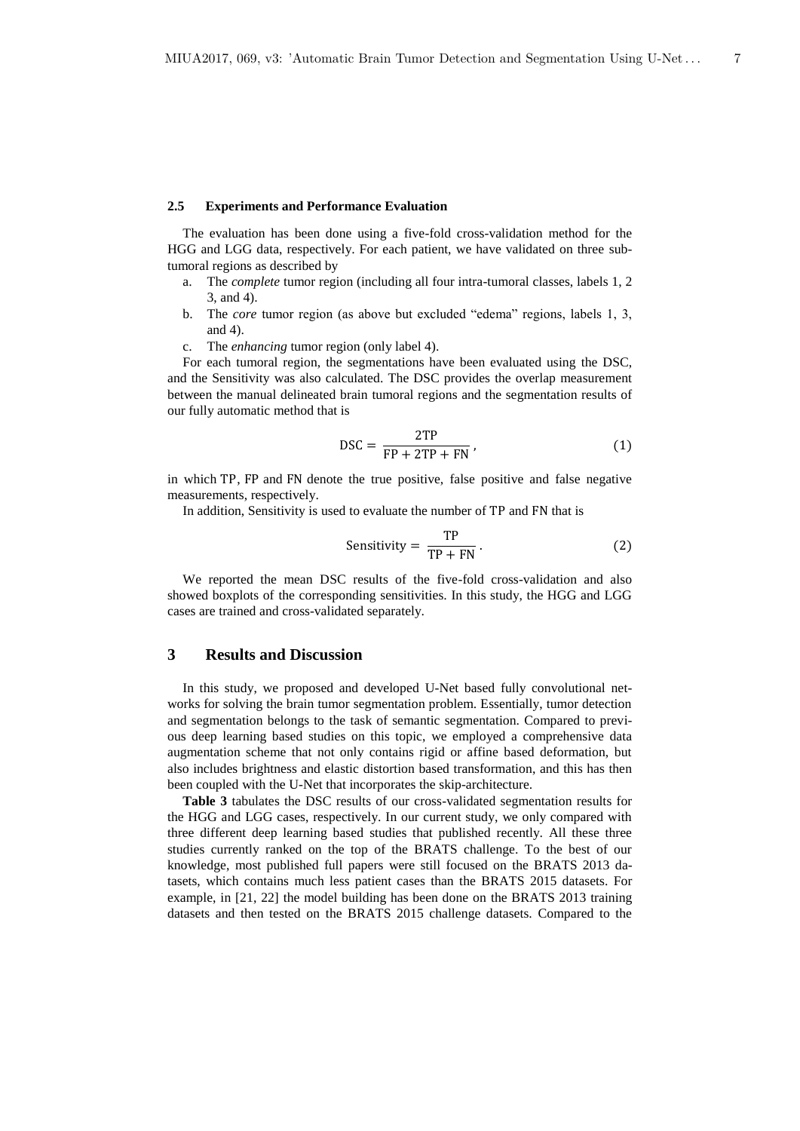#### **2.5 Experiments and Performance Evaluation**

The evaluation has been done using a five-fold cross-validation method for the HGG and LGG data, respectively. For each patient, we have validated on three subtumoral regions as described by

- a. The *complete* tumor region (including all four intra-tumoral classes, labels 1, 2 3, and 4).
- b. The *core* tumor region (as above but excluded "edema" regions, labels 1, 3, and 4).
- c. The *enhancing* tumor region (only label 4).

For each tumoral region, the segmentations have been evaluated using the DSC, and the Sensitivity was also calculated. The DSC provides the overlap measurement between the manual delineated brain tumoral regions and the segmentation results of our fully automatic method that is

$$
\text{DSC} = \frac{\text{2TP}}{\text{FP} + \text{2TP} + \text{FN}},\tag{1}
$$

in which TP, FP and FN denote the true positive, false positive and false negative measurements, respectively.

In addition, Sensitivity is used to evaluate the number of TP and FN that is

$$
Sensitivity = \frac{TP}{TP + FN}.
$$
 (2)

We reported the mean DSC results of the five-fold cross-validation and also showed boxplots of the corresponding sensitivities. In this study, the HGG and LGG cases are trained and cross-validated separately.

## **3 Results and Discussion**

In this study, we proposed and developed U-Net based fully convolutional networks for solving the brain tumor segmentation problem. Essentially, tumor detection and segmentation belongs to the task of semantic segmentation. Compared to previous deep learning based studies on this topic, we employed a comprehensive data augmentation scheme that not only contains rigid or affine based deformation, but also includes brightness and elastic distortion based transformation, and this has then been coupled with the U-Net that incorporates the skip-architecture.

**Table 3** tabulates the DSC results of our cross-validated segmentation results for the HGG and LGG cases, respectively. In our current study, we only compared with three different deep learning based studies that published recently. All these three studies currently ranked on the top of the BRATS challenge. To the best of our knowledge, most published full papers were still focused on the BRATS 2013 datasets, which contains much less patient cases than the BRATS 2015 datasets. For example, in [21, 22] the model building has been done on the BRATS 2013 training datasets and then tested on the BRATS 2015 challenge datasets. Compared to the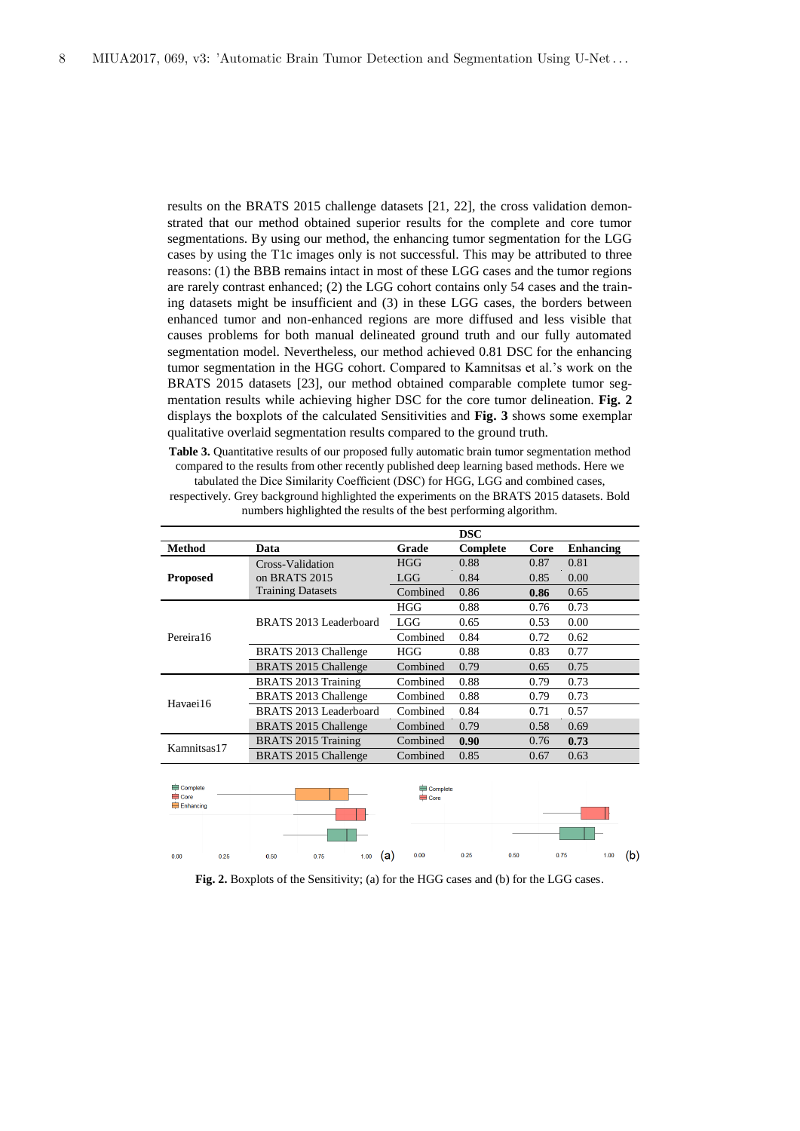results on the BRATS 2015 challenge datasets [21, 22], the cross validation demonstrated that our method obtained superior results for the complete and core tumor segmentations. By using our method, the enhancing tumor segmentation for the LGG cases by using the T1c images only is not successful. This may be attributed to three reasons: (1) the BBB remains intact in most of these LGG cases and the tumor regions are rarely contrast enhanced; (2) the LGG cohort contains only 54 cases and the training datasets might be insufficient and (3) in these LGG cases, the borders between enhanced tumor and non-enhanced regions are more diffused and less visible that causes problems for both manual delineated ground truth and our fully automated segmentation model. Nevertheless, our method achieved 0.81 DSC for the enhancing tumor segmentation in the HGG cohort. Compared to Kamnitsas et al.'s work on the BRATS 2015 datasets [23], our method obtained comparable complete tumor segmentation results while achieving higher DSC for the core tumor delineation. **Fig. 2** displays the boxplots of the calculated Sensitivities and **Fig. 3** shows some exemplar qualitative overlaid segmentation results compared to the ground truth.

**Table 3.** Quantitative results of our proposed fully automatic brain tumor segmentation method compared to the results from other recently published deep learning based methods. Here we tabulated the Dice Similarity Coefficient (DSC) for HGG, LGG and combined cases, respectively. Grey background highlighted the experiments on the BRATS 2015 datasets. Bold numbers highlighted the results of the best performing algorithm.

|                 |                             |          | <b>DSC</b> |      |                  |
|-----------------|-----------------------------|----------|------------|------|------------------|
| Method          | Data                        | Grade    | Complete   | Core | <b>Enhancing</b> |
| <b>Proposed</b> | Cross-Validation            | HGG      | 0.88       | 0.87 | 0.81             |
|                 | on BRATS 2015               | LGG      | 0.84       | 0.85 | 0.00             |
|                 | <b>Training Datasets</b>    | Combined | 0.86       | 0.86 | 0.65             |
| Pereira16       | BRATS 2013 Leaderboard      | HGG      | 0.88       | 0.76 | 0.73             |
|                 |                             | LGG.     | 0.65       | 0.53 | 0.00             |
|                 |                             | Combined | 0.84       | 0.72 | 0.62             |
|                 | BRATS 2013 Challenge        | HGG      | 0.88       | 0.83 | 0.77             |
|                 | <b>BRATS 2015 Challenge</b> | Combined | 0.79       | 0.65 | 0.75             |
| Havaei16        | <b>BRATS 2013 Training</b>  | Combined | 0.88       | 0.79 | 0.73             |
|                 | BRATS 2013 Challenge        | Combined | 0.88       | 0.79 | 0.73             |
|                 | BRATS 2013 Leaderboard      | Combined | 0.84       | 0.71 | 0.57             |
|                 | <b>BRATS 2015 Challenge</b> | Combined | 0.79       | 0.58 | 0.69             |
| Kamnitsas17     | BRATS 2015 Training         | Combined | 0.90       | 0.76 | 0.73             |
|                 | <b>BRATS 2015 Challenge</b> | Combined | 0.85       | 0.67 | 0.63             |
|                 |                             |          |            |      |                  |



**Fig. 2.** Boxplots of the Sensitivity; (a) for the HGG cases and (b) for the LGG cases.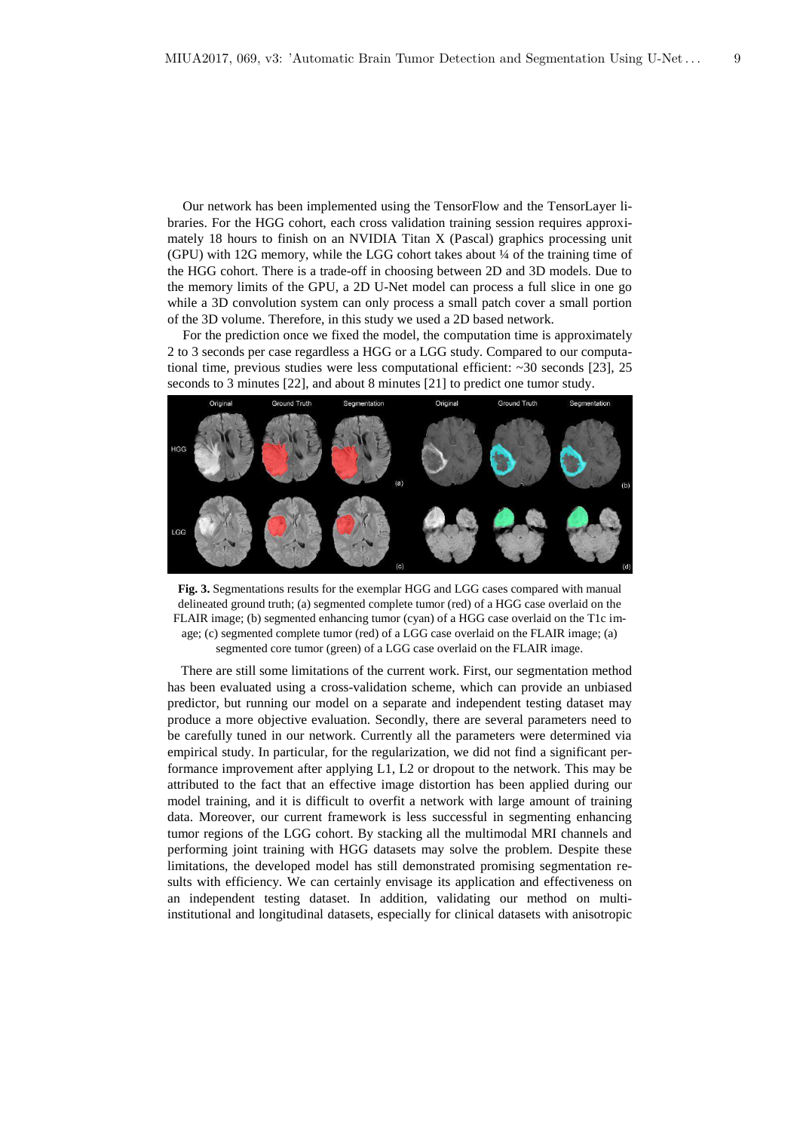Our network has been implemented using the TensorFlow and the TensorLayer libraries. For the HGG cohort, each cross validation training session requires approximately 18 hours to finish on an NVIDIA Titan X (Pascal) graphics processing unit (GPU) with 12G memory, while the LGG cohort takes about ¼ of the training time of the HGG cohort. There is a trade-off in choosing between 2D and 3D models. Due to the memory limits of the GPU, a 2D U-Net model can process a full slice in one go while a 3D convolution system can only process a small patch cover a small portion of the 3D volume. Therefore, in this study we used a 2D based network.

For the prediction once we fixed the model, the computation time is approximately 2 to 3 seconds per case regardless a HGG or a LGG study. Compared to our computational time, previous studies were less computational efficient: ~30 seconds [23], 25 seconds to 3 minutes [22], and about 8 minutes [21] to predict one tumor study.



**Fig. 3.** Segmentations results for the exemplar HGG and LGG cases compared with manual delineated ground truth; (a) segmented complete tumor (red) of a HGG case overlaid on the FLAIR image; (b) segmented enhancing tumor (cyan) of a HGG case overlaid on the T1c image; (c) segmented complete tumor (red) of a LGG case overlaid on the FLAIR image; (a) segmented core tumor (green) of a LGG case overlaid on the FLAIR image.

There are still some limitations of the current work. First, our segmentation method has been evaluated using a cross-validation scheme, which can provide an unbiased predictor, but running our model on a separate and independent testing dataset may produce a more objective evaluation. Secondly, there are several parameters need to be carefully tuned in our network. Currently all the parameters were determined via empirical study. In particular, for the regularization, we did not find a significant performance improvement after applying L1, L2 or dropout to the network. This may be attributed to the fact that an effective image distortion has been applied during our model training, and it is difficult to overfit a network with large amount of training data. Moreover, our current framework is less successful in segmenting enhancing tumor regions of the LGG cohort. By stacking all the multimodal MRI channels and performing joint training with HGG datasets may solve the problem. Despite these limitations, the developed model has still demonstrated promising segmentation results with efficiency. We can certainly envisage its application and effectiveness on an independent testing dataset. In addition, validating our method on multiinstitutional and longitudinal datasets, especially for clinical datasets with anisotropic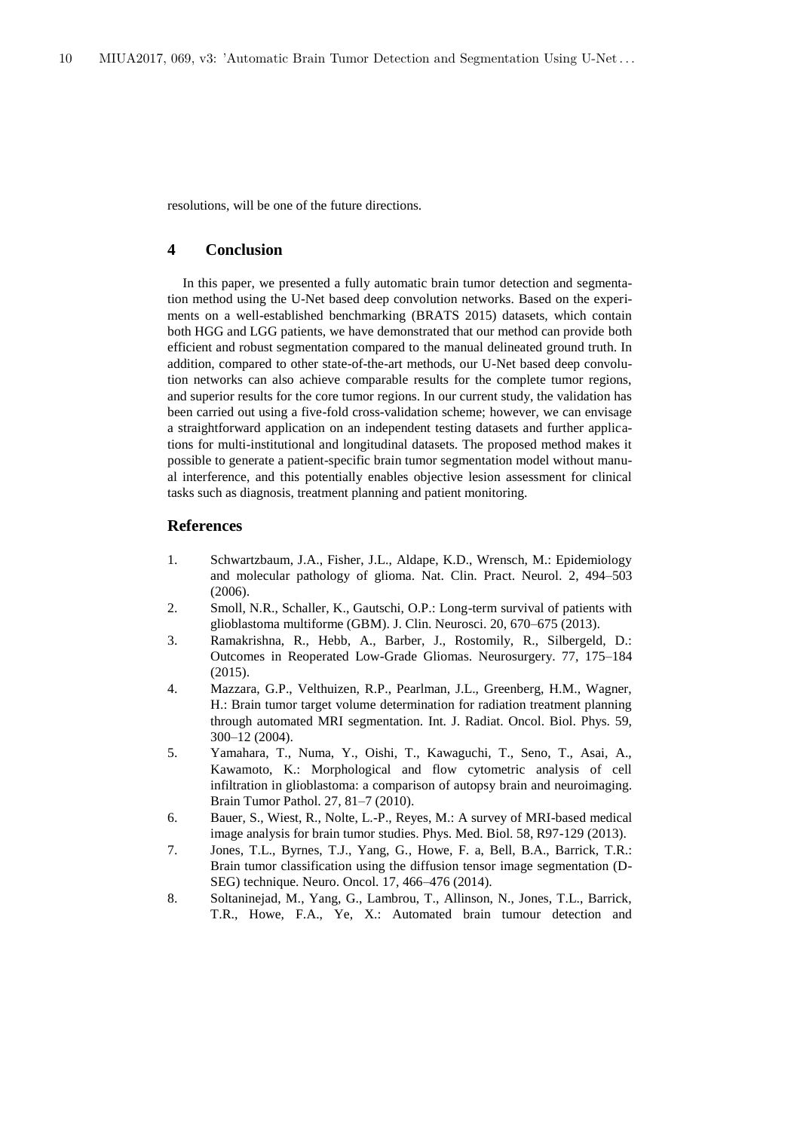resolutions, will be one of the future directions.

# **4 Conclusion**

In this paper, we presented a fully automatic brain tumor detection and segmentation method using the U-Net based deep convolution networks. Based on the experiments on a well-established benchmarking (BRATS 2015) datasets, which contain both HGG and LGG patients, we have demonstrated that our method can provide both efficient and robust segmentation compared to the manual delineated ground truth. In addition, compared to other state-of-the-art methods, our U-Net based deep convolution networks can also achieve comparable results for the complete tumor regions, and superior results for the core tumor regions. In our current study, the validation has been carried out using a five-fold cross-validation scheme; however, we can envisage a straightforward application on an independent testing datasets and further applications for multi-institutional and longitudinal datasets. The proposed method makes it possible to generate a patient-specific brain tumor segmentation model without manual interference, and this potentially enables objective lesion assessment for clinical tasks such as diagnosis, treatment planning and patient monitoring.

### **References**

- 1. Schwartzbaum, J.A., Fisher, J.L., Aldape, K.D., Wrensch, M.: Epidemiology and molecular pathology of glioma. Nat. Clin. Pract. Neurol. 2, 494–503 (2006).
- 2. Smoll, N.R., Schaller, K., Gautschi, O.P.: Long-term survival of patients with glioblastoma multiforme (GBM). J. Clin. Neurosci. 20, 670–675 (2013).
- 3. Ramakrishna, R., Hebb, A., Barber, J., Rostomily, R., Silbergeld, D.: Outcomes in Reoperated Low-Grade Gliomas. Neurosurgery. 77, 175–184 (2015).
- 4. Mazzara, G.P., Velthuizen, R.P., Pearlman, J.L., Greenberg, H.M., Wagner, H.: Brain tumor target volume determination for radiation treatment planning through automated MRI segmentation. Int. J. Radiat. Oncol. Biol. Phys. 59, 300–12 (2004).
- 5. Yamahara, T., Numa, Y., Oishi, T., Kawaguchi, T., Seno, T., Asai, A., Kawamoto, K.: Morphological and flow cytometric analysis of cell infiltration in glioblastoma: a comparison of autopsy brain and neuroimaging. Brain Tumor Pathol. 27, 81–7 (2010).
- 6. Bauer, S., Wiest, R., Nolte, L.-P., Reyes, M.: A survey of MRI-based medical image analysis for brain tumor studies. Phys. Med. Biol. 58, R97-129 (2013).
- 7. Jones, T.L., Byrnes, T.J., Yang, G., Howe, F. a, Bell, B.A., Barrick, T.R.: Brain tumor classification using the diffusion tensor image segmentation (D-SEG) technique. Neuro. Oncol. 17, 466–476 (2014).
- 8. Soltaninejad, M., Yang, G., Lambrou, T., Allinson, N., Jones, T.L., Barrick, T.R., Howe, F.A., Ye, X.: Automated brain tumour detection and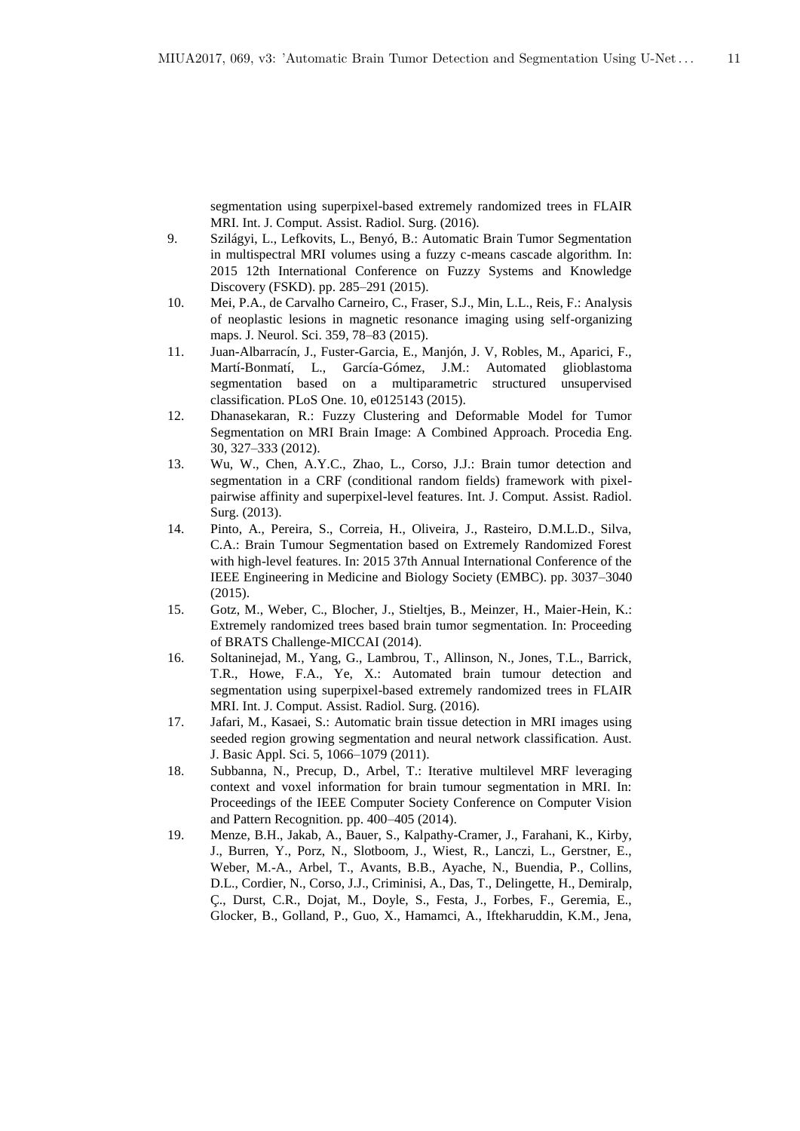segmentation using superpixel-based extremely randomized trees in FLAIR MRI. Int. J. Comput. Assist. Radiol. Surg. (2016).

- 9. Szilágyi, L., Lefkovits, L., Benyó, B.: Automatic Brain Tumor Segmentation in multispectral MRI volumes using a fuzzy c-means cascade algorithm. In: 2015 12th International Conference on Fuzzy Systems and Knowledge Discovery (FSKD). pp. 285–291 (2015).
- 10. Mei, P.A., de Carvalho Carneiro, C., Fraser, S.J., Min, L.L., Reis, F.: Analysis of neoplastic lesions in magnetic resonance imaging using self-organizing maps. J. Neurol. Sci. 359, 78–83 (2015).
- 11. Juan-Albarracín, J., Fuster-Garcia, E., Manjón, J. V, Robles, M., Aparici, F., Martí-Bonmatí, L., García-Gómez, J.M.: Automated glioblastoma segmentation based on a multiparametric structured unsupervised classification. PLoS One. 10, e0125143 (2015).
- 12. Dhanasekaran, R.: Fuzzy Clustering and Deformable Model for Tumor Segmentation on MRI Brain Image: A Combined Approach. Procedia Eng. 30, 327–333 (2012).
- 13. Wu, W., Chen, A.Y.C., Zhao, L., Corso, J.J.: Brain tumor detection and segmentation in a CRF (conditional random fields) framework with pixelpairwise affinity and superpixel-level features. Int. J. Comput. Assist. Radiol. Surg. (2013).
- 14. Pinto, A., Pereira, S., Correia, H., Oliveira, J., Rasteiro, D.M.L.D., Silva, C.A.: Brain Tumour Segmentation based on Extremely Randomized Forest with high-level features. In: 2015 37th Annual International Conference of the IEEE Engineering in Medicine and Biology Society (EMBC). pp. 3037–3040 (2015).
- 15. Gotz, M., Weber, C., Blocher, J., Stieltjes, B., Meinzer, H., Maier-Hein, K.: Extremely randomized trees based brain tumor segmentation. In: Proceeding of BRATS Challenge-MICCAI (2014).
- 16. Soltaninejad, M., Yang, G., Lambrou, T., Allinson, N., Jones, T.L., Barrick, T.R., Howe, F.A., Ye, X.: Automated brain tumour detection and segmentation using superpixel-based extremely randomized trees in FLAIR MRI. Int. J. Comput. Assist. Radiol. Surg. (2016).
- 17. Jafari, M., Kasaei, S.: Automatic brain tissue detection in MRI images using seeded region growing segmentation and neural network classification. Aust. J. Basic Appl. Sci. 5, 1066–1079 (2011).
- 18. Subbanna, N., Precup, D., Arbel, T.: Iterative multilevel MRF leveraging context and voxel information for brain tumour segmentation in MRI. In: Proceedings of the IEEE Computer Society Conference on Computer Vision and Pattern Recognition. pp. 400–405 (2014).
- 19. Menze, B.H., Jakab, A., Bauer, S., Kalpathy-Cramer, J., Farahani, K., Kirby, J., Burren, Y., Porz, N., Slotboom, J., Wiest, R., Lanczi, L., Gerstner, E., Weber, M.-A., Arbel, T., Avants, B.B., Ayache, N., Buendia, P., Collins, D.L., Cordier, N., Corso, J.J., Criminisi, A., Das, T., Delingette, H., Demiralp, Ç., Durst, C.R., Dojat, M., Doyle, S., Festa, J., Forbes, F., Geremia, E., Glocker, B., Golland, P., Guo, X., Hamamci, A., Iftekharuddin, K.M., Jena,